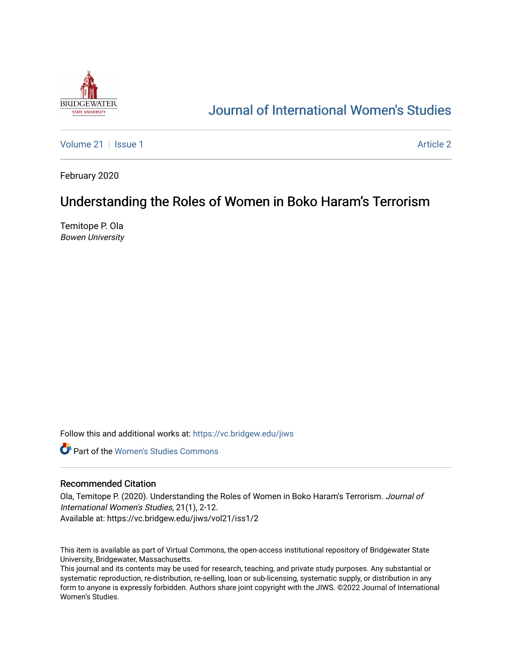

# [Journal of International Women's Studies](https://vc.bridgew.edu/jiws)

[Volume 21](https://vc.bridgew.edu/jiws/vol21) | [Issue 1](https://vc.bridgew.edu/jiws/vol21/iss1) [Article 2](https://vc.bridgew.edu/jiws/vol21/iss1/2) | Article 2 | Article 2 | Article 2 | Article 2 | Article 2 | Article 2 | Article 2 | Article 2 | Article 2 | Article 2 | Article 2 | Article 2 | Article 2 | Article 2 | Article 2 | Article 2

February 2020

# Understanding the Roles of Women in Boko Haram's Terrorism

Temitope P. Ola Bowen University

Follow this and additional works at: [https://vc.bridgew.edu/jiws](https://vc.bridgew.edu/jiws?utm_source=vc.bridgew.edu%2Fjiws%2Fvol21%2Fiss1%2F2&utm_medium=PDF&utm_campaign=PDFCoverPages)

**C** Part of the Women's Studies Commons

#### Recommended Citation

Ola, Temitope P. (2020). Understanding the Roles of Women in Boko Haram's Terrorism. Journal of International Women's Studies, 21(1), 2-12. Available at: https://vc.bridgew.edu/jiws/vol21/iss1/2

This item is available as part of Virtual Commons, the open-access institutional repository of Bridgewater State University, Bridgewater, Massachusetts.

This journal and its contents may be used for research, teaching, and private study purposes. Any substantial or systematic reproduction, re-distribution, re-selling, loan or sub-licensing, systematic supply, or distribution in any form to anyone is expressly forbidden. Authors share joint copyright with the JIWS. ©2022 Journal of International Women's Studies.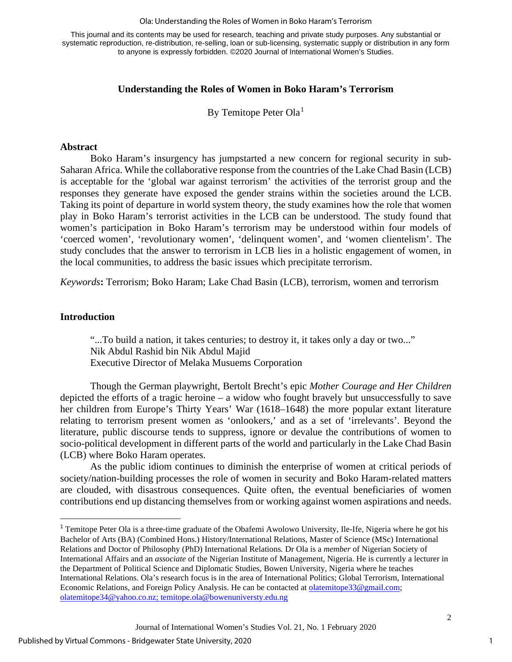#### Ola: Understanding the Roles of Women in Boko Haram's Terrorism

This journal and its contents may be used for research, teaching and private study purposes. Any substantial or systematic reproduction, re-distribution, re-selling, loan or sub-licensing, systematic supply or distribution in any form to anyone is expressly forbidden. ©2020 Journal of International Women's Studies.

# **Understanding the Roles of Women in Boko Haram's Terrorism**

By Temitope Peter Ola<sup>[1](#page-1-0)</sup>

### **Abstract**

Boko Haram's insurgency has jumpstarted a new concern for regional security in sub-Saharan Africa. While the collaborative response from the countries of the Lake Chad Basin (LCB) is acceptable for the 'global war against terrorism' the activities of the terrorist group and the responses they generate have exposed the gender strains within the societies around the LCB. Taking its point of departure in world system theory, the study examines how the role that women play in Boko Haram's terrorist activities in the LCB can be understood. The study found that women's participation in Boko Haram's terrorism may be understood within four models of 'coerced women', 'revolutionary women', 'delinquent women', and 'women clientelism'. The study concludes that the answer to terrorism in LCB lies in a holistic engagement of women, in the local communities, to address the basic issues which precipitate terrorism.

*Keywords***:** Terrorism; Boko Haram; Lake Chad Basin (LCB), terrorism, women and terrorism

## **Introduction**

"...To build a nation, it takes centuries; to destroy it, it takes only a day or two..." Nik Abdul Rashid bin Nik Abdul Majid Executive Director of Melaka Musuems Corporation

Though the German playwright, Bertolt Brecht's epic *Mother Courage and Her Children*  depicted the efforts of a tragic heroine – a widow who fought bravely but unsuccessfully to save her children from Europe's Thirty Years' War (1618–1648) the more popular extant literature relating to terrorism present women as 'onlookers,' and as a set of 'irrelevants'. Beyond the literature, public discourse tends to suppress, ignore or devalue the contributions of women to socio-political development in different parts of the world and particularly in the Lake Chad Basin (LCB) where Boko Haram operates.

As the public idiom continues to diminish the enterprise of women at critical periods of society/nation-building processes the role of women in security and Boko Haram-related matters are clouded, with disastrous consequences. Quite often, the eventual beneficiaries of women contributions end up distancing themselves from or working against women aspirations and needs.

1

<span id="page-1-0"></span><sup>&</sup>lt;sup>1</sup> Temitope Peter Ola is a three-time graduate of the Obafemi Awolowo University, Ile-Ife, Nigeria where he got his Bachelor of Arts (BA) (Combined Hons.) History/International Relations, Master of Science (MSc) International Relations and Doctor of Philosophy (PhD) International Relations*.* Dr Ola is a *member* of Nigerian Society of International Affairs and an *associate* of the Nigerian Institute of Management, Nigeria. He is currently a lecturer in the Department of Political Science and Diplomatic Studies, Bowen University, Nigeria where he teaches International Relations. Ola's research focus is in the area of International Politics; Global Terrorism, International Economic Relations, and Foreign Policy Analysis. He can be contacted at **olatemitope33@gmail.com**; [olatemitope34@yahoo.co.nz;](mailto:olatemitope34@yahoo.co.nz) [temitope.ola@bowenu](mailto:temitope.ola@bowen)niversty.edu.ng

Journal of International Women's Studies Vol. 21, No. 1 February 2020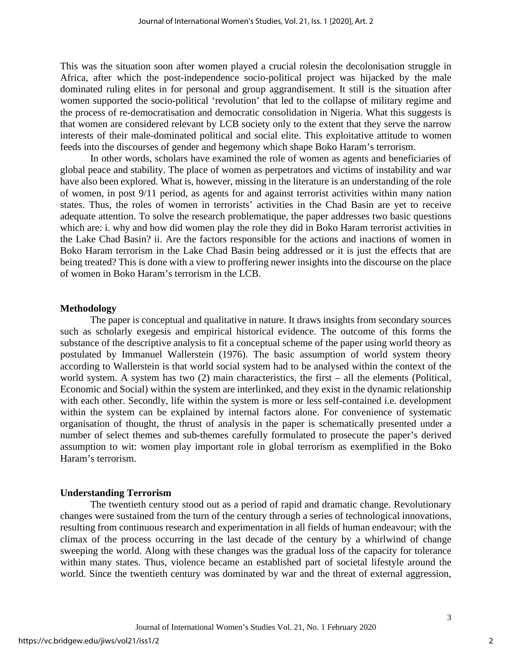This was the situation soon after women played a crucial rolesin the decolonisation struggle in Africa, after which the post-independence socio-political project was hijacked by the male dominated ruling elites in for personal and group aggrandisement. It still is the situation after women supported the socio-political 'revolution' that led to the collapse of military regime and the process of re-democratisation and democratic consolidation in Nigeria. What this suggests is that women are considered relevant by LCB society only to the extent that they serve the narrow interests of their male-dominated political and social elite. This exploitative attitude to women feeds into the discourses of gender and hegemony which shape Boko Haram's terrorism.

In other words, scholars have examined the role of women as agents and beneficiaries of global peace and stability. The place of women as perpetrators and victims of instability and war have also been explored. What is, however, missing in the literature is an understanding of the role of women, in post 9/11 period, as agents for and against terrorist activities within many nation states. Thus, the roles of women in terrorists' activities in the Chad Basin are yet to receive adequate attention. To solve the research problematique, the paper addresses two basic questions which are: i. why and how did women play the role they did in Boko Haram terrorist activities in the Lake Chad Basin? ii. Are the factors responsible for the actions and inactions of women in Boko Haram terrorism in the Lake Chad Basin being addressed or it is just the effects that are being treated? This is done with a view to proffering newer insights into the discourse on the place of women in Boko Haram's terrorism in the LCB.

#### **Methodology**

The paper is conceptual and qualitative in nature. It draws insights from secondary sources such as scholarly exegesis and empirical historical evidence. The outcome of this forms the substance of the descriptive analysis to fit a conceptual scheme of the paper using world theory as postulated by Immanuel Wallerstein (1976). The basic assumption of world system theory according to Wallerstein is that world social system had to be analysed within the context of the world system. A system has two (2) main characteristics, the first – all the elements (Political, Economic and Social) within the system are interlinked, and they exist in the dynamic relationship with each other. Secondly, life within the system is more or less self-contained i.e. development within the system can be explained by internal factors alone. For convenience of systematic organisation of thought, the thrust of analysis in the paper is schematically presented under a number of select themes and sub-themes carefully formulated to prosecute the paper's derived assumption to wit: women play important role in global terrorism as exemplified in the Boko Haram's terrorism.

### **Understanding Terrorism**

The twentieth century stood out as a period of rapid and dramatic change. Revolutionary changes were sustained from the turn of the century through a series of technological innovations, resulting from continuous research and experimentation in all fields of human endeavour; with the climax of the process occurring in the last decade of the century by a whirlwind of change sweeping the world. Along with these changes was the gradual loss of the capacity for tolerance within many states. Thus, violence became an established part of societal lifestyle around the world. Since the twentieth century was dominated by war and the threat of external aggression,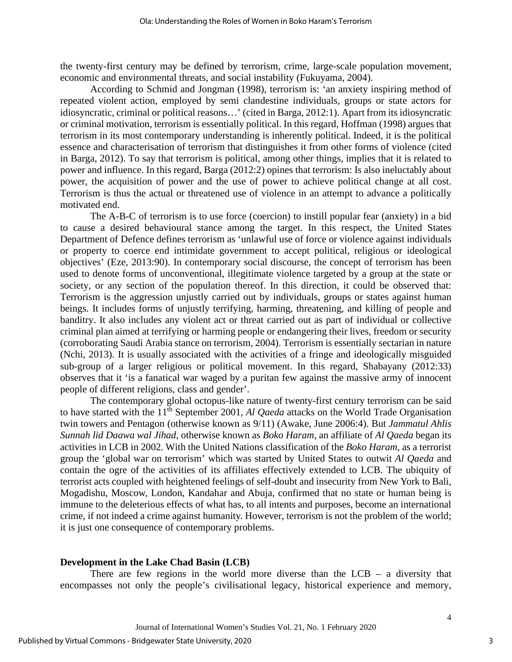the twenty-first century may be defined by terrorism, crime, large-scale population movement, economic and environmental threats, and social instability (Fukuyama, 2004).

According to Schmid and Jongman (1998), terrorism is: 'an anxiety inspiring method of repeated violent action, employed by semi clandestine individuals, groups or state actors for idiosyncratic, criminal or political reasons…' (cited in Barga, 2012:1). Apart from its idiosyncratic or criminal motivation, terrorism is essentially political. In this regard, Hoffman (1998) argues that terrorism in its most contemporary understanding is inherently political. Indeed, it is the political essence and characterisation of terrorism that distinguishes it from other forms of violence (cited in Barga, 2012). To say that terrorism is political, among other things, implies that it is related to power and influence. In this regard, Barga (2012:2) opines that terrorism: Is also ineluctably about power, the acquisition of power and the use of power to achieve political change at all cost. Terrorism is thus the actual or threatened use of violence in an attempt to advance a politically motivated end.

The A-B-C of terrorism is to use force (coercion) to instill popular fear (anxiety) in a bid to cause a desired behavioural stance among the target. In this respect, the United States Department of Defence defines terrorism as 'unlawful use of force or violence against individuals or property to coerce end intimidate government to accept political, religious or ideological objectives' (Eze, 2013:90). In contemporary social discourse, the concept of terrorism has been used to denote forms of unconventional, illegitimate violence targeted by a group at the state or society, or any section of the population thereof. In this direction, it could be observed that: Terrorism is the aggression unjustly carried out by individuals, groups or states against human beings. It includes forms of unjustly terrifying, harming, threatening, and killing of people and banditry. It also includes any violent act or threat carried out as part of individual or collective criminal plan aimed at terrifying or harming people or endangering their lives, freedom or security (corroborating Saudi Arabia stance on terrorism, 2004). Terrorism is essentially sectarian in nature (Nchi, 2013). It is usually associated with the activities of a fringe and ideologically misguided sub-group of a larger religious or political movement. In this regard, Shabayany (2012:33) observes that it 'is a fanatical war waged by a puritan few against the massive army of innocent people of different religions, class and gender'.

The contemporary global octopus-like nature of twenty-first century terrorism can be said to have started with the 11<sup>th</sup> September 2001, *Al Qaeda* attacks on the World Trade Organisation twin towers and Pentagon (otherwise known as 9/11) (Awake, June 2006:4). But *Jammatul Ahlis Sunnah lid Daawa wal Jihad*, otherwise known as *Boko Haram,* an affiliate of *Al Qaeda* began its activities in LCB in 2002. With the United Nations classification of the *Boko Haram,* as a terrorist group the 'global war on terrorism' which was started by United States to outwit *Al Qaeda* and contain the ogre of the activities of its affiliates effectively extended to LCB. The ubiquity of terrorist acts coupled with heightened feelings of self-doubt and insecurity from New York to Bali, Mogadishu, Moscow, London, Kandahar and Abuja, confirmed that no state or human being is immune to the deleterious effects of what has, to all intents and purposes, become an international crime, if not indeed a crime against humanity. However, terrorism is not the problem of the world; it is just one consequence of contemporary problems.

#### **Development in the Lake Chad Basin (LCB)**

There are few regions in the world more diverse than the  $LCB - a$  diversity that encompasses not only the people's civilisational legacy, historical experience and memory,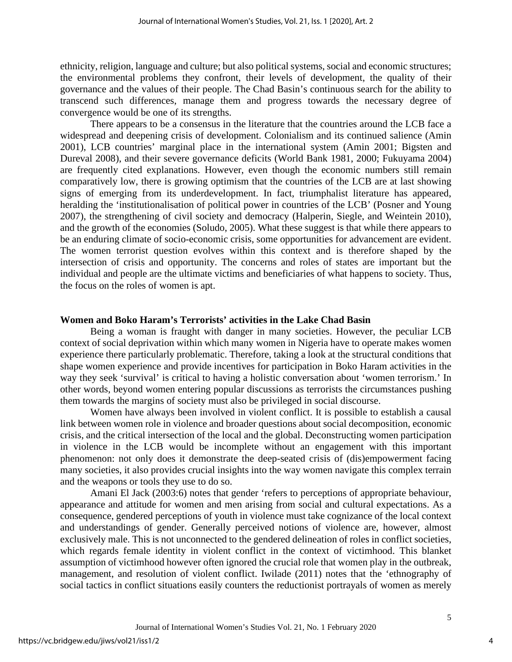ethnicity, religion, language and culture; but also political systems, social and economic structures; the environmental problems they confront, their levels of development, the quality of their governance and the values of their people. The Chad Basin's continuous search for the ability to transcend such differences, manage them and progress towards the necessary degree of convergence would be one of its strengths.

There appears to be a consensus in the literature that the countries around the LCB face a widespread and deepening crisis of development. Colonialism and its continued salience (Amin 2001), LCB countries' marginal place in the international system (Amin 2001; Bigsten and Dureval 2008), and their severe governance deficits (World Bank 1981, 2000; Fukuyama 2004) are frequently cited explanations. However, even though the economic numbers still remain comparatively low, there is growing optimism that the countries of the LCB are at last showing signs of emerging from its underdevelopment. In fact, triumphalist literature has appeared, heralding the 'institutionalisation of political power in countries of the LCB' (Posner and Young 2007), the strengthening of civil society and democracy (Halperin, Siegle, and Weintein 2010), and the growth of the economies (Soludo, 2005). What these suggest is that while there appears to be an enduring climate of socio-economic crisis, some opportunities for advancement are evident. The women terrorist question evolves within this context and is therefore shaped by the intersection of crisis and opportunity. The concerns and roles of states are important but the individual and people are the ultimate victims and beneficiaries of what happens to society. Thus, the focus on the roles of women is apt.

#### **Women and Boko Haram's Terrorists' activities in the Lake Chad Basin**

Being a woman is fraught with danger in many societies. However, the peculiar LCB context of social deprivation within which many women in Nigeria have to operate makes women experience there particularly problematic. Therefore, taking a look at the structural conditions that shape women experience and provide incentives for participation in Boko Haram activities in the way they seek 'survival' is critical to having a holistic conversation about 'women terrorism.' In other words, beyond women entering popular discussions as terrorists the circumstances pushing them towards the margins of society must also be privileged in social discourse.

Women have always been involved in violent conflict. It is possible to establish a causal link between women role in violence and broader questions about social decomposition, economic crisis, and the critical intersection of the local and the global. Deconstructing women participation in violence in the LCB would be incomplete without an engagement with this important phenomenon: not only does it demonstrate the deep-seated crisis of (dis)empowerment facing many societies, it also provides crucial insights into the way women navigate this complex terrain and the weapons or tools they use to do so.

Amani El Jack (2003:6) notes that gender 'refers to perceptions of appropriate behaviour, appearance and attitude for women and men arising from social and cultural expectations. As a consequence, gendered perceptions of youth in violence must take cognizance of the local context and understandings of gender. Generally perceived notions of violence are, however, almost exclusively male. This is not unconnected to the gendered delineation of roles in conflict societies, which regards female identity in violent conflict in the context of victimhood. This blanket assumption of victimhood however often ignored the crucial role that women play in the outbreak, management, and resolution of violent conflict. Iwilade (2011) notes that the 'ethnography of social tactics in conflict situations easily counters the reductionist portrayals of women as merely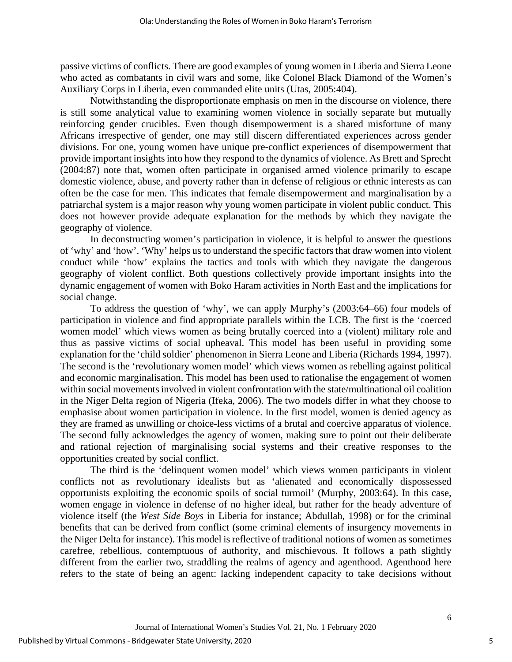passive victims of conflicts. There are good examples of young women in Liberia and Sierra Leone who acted as combatants in civil wars and some, like Colonel Black Diamond of the Women's Auxiliary Corps in Liberia, even commanded elite units (Utas, 2005:404).

Notwithstanding the disproportionate emphasis on men in the discourse on violence, there is still some analytical value to examining women violence in socially separate but mutually reinforcing gender crucibles. Even though disempowerment is a shared misfortune of many Africans irrespective of gender, one may still discern differentiated experiences across gender divisions. For one, young women have unique pre-conflict experiences of disempowerment that provide important insights into how they respond to the dynamics of violence. As Brett and Sprecht (2004:87) note that, women often participate in organised armed violence primarily to escape domestic violence, abuse, and poverty rather than in defense of religious or ethnic interests as can often be the case for men. This indicates that female disempowerment and marginalisation by a patriarchal system is a major reason why young women participate in violent public conduct. This does not however provide adequate explanation for the methods by which they navigate the geography of violence.

In deconstructing women's participation in violence, it is helpful to answer the questions of 'why' and 'how'. 'Why' helps us to understand the specific factors that draw women into violent conduct while 'how' explains the tactics and tools with which they navigate the dangerous geography of violent conflict. Both questions collectively provide important insights into the dynamic engagement of women with Boko Haram activities in North East and the implications for social change.

To address the question of 'why', we can apply Murphy's (2003:64–66) four models of participation in violence and find appropriate parallels within the LCB. The first is the 'coerced women model' which views women as being brutally coerced into a (violent) military role and thus as passive victims of social upheaval. This model has been useful in providing some explanation for the 'child soldier' phenomenon in Sierra Leone and Liberia (Richards 1994, 1997). The second is the 'revolutionary women model' which views women as rebelling against political and economic marginalisation. This model has been used to rationalise the engagement of women within social movements involved in violent confrontation with the state/multinational oil coalition in the Niger Delta region of Nigeria (Ifeka, 2006). The two models differ in what they choose to emphasise about women participation in violence. In the first model, women is denied agency as they are framed as unwilling or choice-less victims of a brutal and coercive apparatus of violence. The second fully acknowledges the agency of women, making sure to point out their deliberate and rational rejection of marginalising social systems and their creative responses to the opportunities created by social conflict.

The third is the 'delinquent women model' which views women participants in violent conflicts not as revolutionary idealists but as 'alienated and economically dispossessed opportunists exploiting the economic spoils of social turmoil' (Murphy, 2003:64). In this case, women engage in violence in defense of no higher ideal, but rather for the heady adventure of violence itself (the *West Side Boys* in Liberia for instance; Abdullah, 1998) or for the criminal benefits that can be derived from conflict (some criminal elements of insurgency movements in the Niger Delta for instance). This model is reflective of traditional notions of women as sometimes carefree, rebellious, contemptuous of authority, and mischievous. It follows a path slightly different from the earlier two, straddling the realms of agency and agenthood. Agenthood here refers to the state of being an agent: lacking independent capacity to take decisions without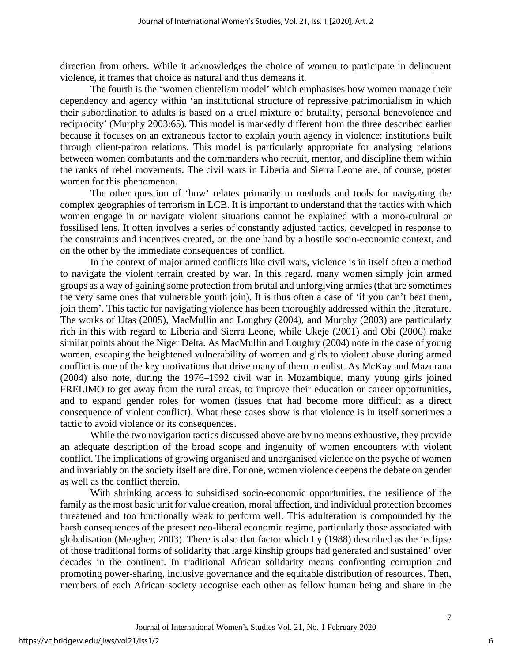direction from others. While it acknowledges the choice of women to participate in delinquent violence, it frames that choice as natural and thus demeans it.

The fourth is the 'women clientelism model' which emphasises how women manage their dependency and agency within 'an institutional structure of repressive patrimonialism in which their subordination to adults is based on a cruel mixture of brutality, personal benevolence and reciprocity' (Murphy 2003:65). This model is markedly different from the three described earlier because it focuses on an extraneous factor to explain youth agency in violence: institutions built through client-patron relations. This model is particularly appropriate for analysing relations between women combatants and the commanders who recruit, mentor, and discipline them within the ranks of rebel movements. The civil wars in Liberia and Sierra Leone are, of course, poster women for this phenomenon.

The other question of 'how' relates primarily to methods and tools for navigating the complex geographies of terrorism in LCB. It is important to understand that the tactics with which women engage in or navigate violent situations cannot be explained with a mono-cultural or fossilised lens. It often involves a series of constantly adjusted tactics, developed in response to the constraints and incentives created, on the one hand by a hostile socio-economic context, and on the other by the immediate consequences of conflict.

In the context of major armed conflicts like civil wars, violence is in itself often a method to navigate the violent terrain created by war. In this regard, many women simply join armed groups as a way of gaining some protection from brutal and unforgiving armies (that are sometimes the very same ones that vulnerable youth join). It is thus often a case of 'if you can't beat them, join them'. This tactic for navigating violence has been thoroughly addressed within the literature. The works of Utas (2005), MacMullin and Loughry (2004), and Murphy (2003) are particularly rich in this with regard to Liberia and Sierra Leone, while Ukeje (2001) and Obi (2006) make similar points about the Niger Delta. As MacMullin and Loughry (2004) note in the case of young women, escaping the heightened vulnerability of women and girls to violent abuse during armed conflict is one of the key motivations that drive many of them to enlist. As McKay and Mazurana (2004) also note, during the 1976–1992 civil war in Mozambique, many young girls joined FRELIMO to get away from the rural areas, to improve their education or career opportunities, and to expand gender roles for women (issues that had become more difficult as a direct consequence of violent conflict). What these cases show is that violence is in itself sometimes a tactic to avoid violence or its consequences.

While the two navigation tactics discussed above are by no means exhaustive, they provide an adequate description of the broad scope and ingenuity of women encounters with violent conflict. The implications of growing organised and unorganised violence on the psyche of women and invariably on the society itself are dire. For one, women violence deepens the debate on gender as well as the conflict therein.

With shrinking access to subsidised socio-economic opportunities, the resilience of the family as the most basic unit for value creation, moral affection, and individual protection becomes threatened and too functionally weak to perform well. This adulteration is compounded by the harsh consequences of the present neo-liberal economic regime, particularly those associated with globalisation (Meagher, 2003). There is also that factor which Ly (1988) described as the 'eclipse of those traditional forms of solidarity that large kinship groups had generated and sustained' over decades in the continent. In traditional African solidarity means confronting corruption and promoting power-sharing, inclusive governance and the equitable distribution of resources. Then, members of each African society recognise each other as fellow human being and share in the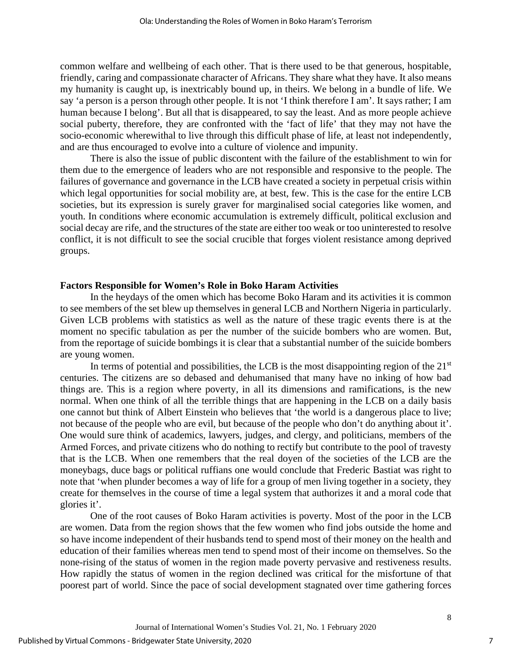common welfare and wellbeing of each other. That is there used to be that generous, hospitable, friendly, caring and compassionate character of Africans. They share what they have. It also means my humanity is caught up, is inextricably bound up, in theirs. We belong in a bundle of life. We say 'a person is a person through other people. It is not 'I think therefore I am'. It says rather; I am human because I belong'. But all that is disappeared, to say the least. And as more people achieve social puberty, therefore, they are confronted with the 'fact of life' that they may not have the socio-economic wherewithal to live through this difficult phase of life, at least not independently, and are thus encouraged to evolve into a culture of violence and impunity.

There is also the issue of public discontent with the failure of the establishment to win for them due to the emergence of leaders who are not responsible and responsive to the people. The failures of governance and governance in the LCB have created a society in perpetual crisis within which legal opportunities for social mobility are, at best, few. This is the case for the entire LCB societies, but its expression is surely graver for marginalised social categories like women, and youth. In conditions where economic accumulation is extremely difficult, political exclusion and social decay are rife, and the structures of the state are either too weak or too uninterested to resolve conflict, it is not difficult to see the social crucible that forges violent resistance among deprived groups.

## **Factors Responsible for Women's Role in Boko Haram Activities**

In the heydays of the omen which has become Boko Haram and its activities it is common to see members of the set blew up themselves in general LCB and Northern Nigeria in particularly. Given LCB problems with statistics as well as the nature of these tragic events there is at the moment no specific tabulation as per the number of the suicide bombers who are women. But, from the reportage of suicide bombings it is clear that a substantial number of the suicide bombers are young women.

In terms of potential and possibilities, the LCB is the most disappointing region of the  $21<sup>st</sup>$ centuries. The citizens are so debased and dehumanised that many have no inking of how bad things are. This is a region where poverty, in all its dimensions and ramifications, is the new normal. When one think of all the terrible things that are happening in the LCB on a daily basis one cannot but think of Albert Einstein who believes that 'the world is a dangerous place to live; not because of the people who are evil, but because of the people who don't do anything about it'. One would sure think of academics, lawyers, judges, and clergy, and politicians, members of the Armed Forces, and private citizens who do nothing to rectify but contribute to the pool of travesty that is the LCB. When one remembers that the real doyen of the societies of the LCB are the moneybags, duce bags or political ruffians one would conclude that Frederic Bastiat was right to note that 'when plunder becomes a way of life for a group of men living together in a society, they create for themselves in the course of time a legal system that authorizes it and a moral code that glories it'.

One of the root causes of Boko Haram activities is poverty. Most of the poor in the LCB are women. Data from the region shows that the few women who find jobs outside the home and so have income independent of their husbands tend to spend most of their money on the health and education of their families whereas men tend to spend most of their income on themselves. So the none-rising of the status of women in the region made poverty pervasive and restiveness results. How rapidly the status of women in the region declined was critical for the misfortune of that poorest part of world. Since the pace of social development stagnated over time gathering forces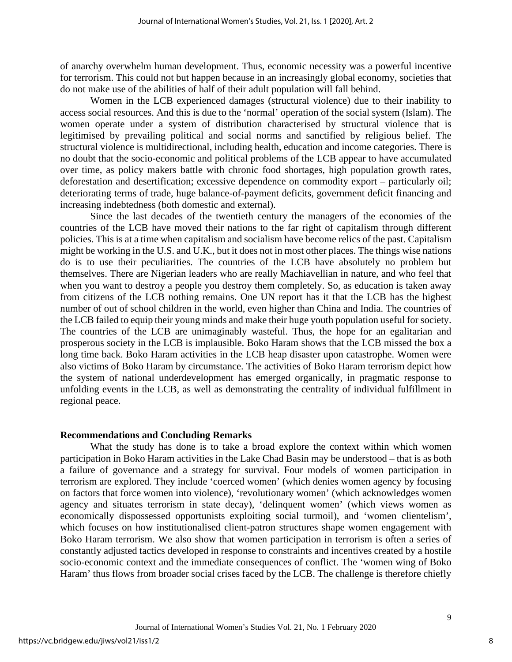of anarchy overwhelm human development. Thus, economic necessity was a powerful incentive for terrorism. This could not but happen because in an increasingly global economy, societies that do not make use of the abilities of half of their adult population will fall behind.

Women in the LCB experienced damages (structural violence) due to their inability to access social resources. And this is due to the 'normal' operation of the social system (Islam). The women operate under a system of distribution characterised by structural violence that is legitimised by prevailing political and social norms and sanctified by religious belief. The structural violence is multidirectional, including health, education and income categories. There is no doubt that the socio-economic and political problems of the LCB appear to have accumulated over time, as policy makers battle with chronic food shortages, high population growth rates, deforestation and desertification; excessive dependence on commodity export – particularly oil; deteriorating terms of trade, huge balance-of-payment deficits, government deficit financing and increasing indebtedness (both domestic and external).

Since the last decades of the twentieth century the managers of the economies of the countries of the LCB have moved their nations to the far right of capitalism through different policies. This is at a time when capitalism and socialism have become relics of the past. Capitalism might be working in the U.S. and U.K., but it does not in most other places. The things wise nations do is to use their peculiarities. The countries of the LCB have absolutely no problem but themselves. There are Nigerian leaders who are really Machiavellian in nature, and who feel that when you want to destroy a people you destroy them completely. So, as education is taken away from citizens of the LCB nothing remains. One UN report has it that the LCB has the highest number of out of school children in the world, even higher than China and India. The countries of the LCB failed to equip their young minds and make their huge youth population useful for society. The countries of the LCB are unimaginably wasteful. Thus, the hope for an egalitarian and prosperous society in the LCB is implausible. Boko Haram shows that the LCB missed the box a long time back. Boko Haram activities in the LCB heap disaster upon catastrophe. Women were also victims of Boko Haram by circumstance. The activities of Boko Haram terrorism depict how the system of national underdevelopment has emerged organically, in pragmatic response to unfolding events in the LCB, as well as demonstrating the centrality of individual fulfillment in regional peace.

#### **Recommendations and Concluding Remarks**

What the study has done is to take a broad explore the context within which women participation in Boko Haram activities in the Lake Chad Basin may be understood – that is as both a failure of governance and a strategy for survival. Four models of women participation in terrorism are explored. They include 'coerced women' (which denies women agency by focusing on factors that force women into violence), 'revolutionary women' (which acknowledges women agency and situates terrorism in state decay), 'delinquent women' (which views women as economically dispossessed opportunists exploiting social turmoil), and 'women clientelism', which focuses on how institutionalised client-patron structures shape women engagement with Boko Haram terrorism. We also show that women participation in terrorism is often a series of constantly adjusted tactics developed in response to constraints and incentives created by a hostile socio-economic context and the immediate consequences of conflict. The 'women wing of Boko Haram' thus flows from broader social crises faced by the LCB. The challenge is therefore chiefly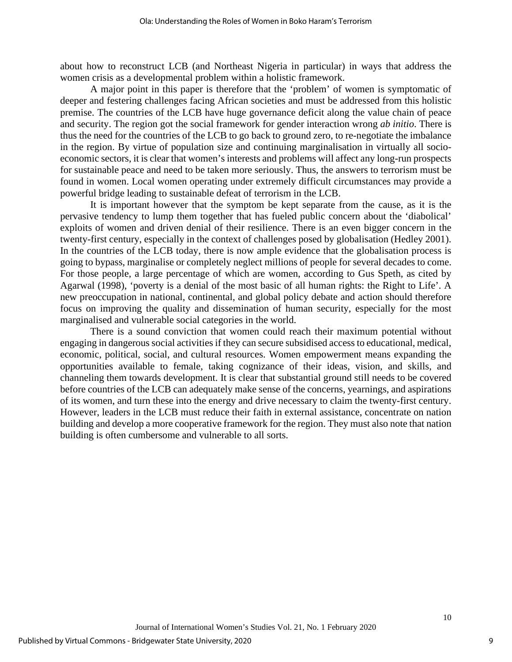about how to reconstruct LCB (and Northeast Nigeria in particular) in ways that address the women crisis as a developmental problem within a holistic framework.

A major point in this paper is therefore that the 'problem' of women is symptomatic of deeper and festering challenges facing African societies and must be addressed from this holistic premise. The countries of the LCB have huge governance deficit along the value chain of peace and security. The region got the social framework for gender interaction wrong *ab initio*. There is thus the need for the countries of the LCB to go back to ground zero, to re-negotiate the imbalance in the region. By virtue of population size and continuing marginalisation in virtually all socioeconomic sectors, it is clear that women's interests and problems will affect any long-run prospects for sustainable peace and need to be taken more seriously. Thus, the answers to terrorism must be found in women. Local women operating under extremely difficult circumstances may provide a powerful bridge leading to sustainable defeat of terrorism in the LCB.

It is important however that the symptom be kept separate from the cause, as it is the pervasive tendency to lump them together that has fueled public concern about the 'diabolical' exploits of women and driven denial of their resilience. There is an even bigger concern in the twenty-first century, especially in the context of challenges posed by globalisation (Hedley 2001). In the countries of the LCB today, there is now ample evidence that the globalisation process is going to bypass, marginalise or completely neglect millions of people for several decades to come. For those people, a large percentage of which are women, according to Gus Speth, as cited by Agarwal (1998), 'poverty is a denial of the most basic of all human rights: the Right to Life'. A new preoccupation in national, continental, and global policy debate and action should therefore focus on improving the quality and dissemination of human security, especially for the most marginalised and vulnerable social categories in the world.

There is a sound conviction that women could reach their maximum potential without engaging in dangerous social activities if they can secure subsidised access to educational, medical, economic, political, social, and cultural resources. Women empowerment means expanding the opportunities available to female, taking cognizance of their ideas, vision, and skills, and channeling them towards development. It is clear that substantial ground still needs to be covered before countries of the LCB can adequately make sense of the concerns, yearnings, and aspirations of its women, and turn these into the energy and drive necessary to claim the twenty-first century. However, leaders in the LCB must reduce their faith in external assistance, concentrate on nation building and develop a more cooperative framework for the region. They must also note that nation building is often cumbersome and vulnerable to all sorts.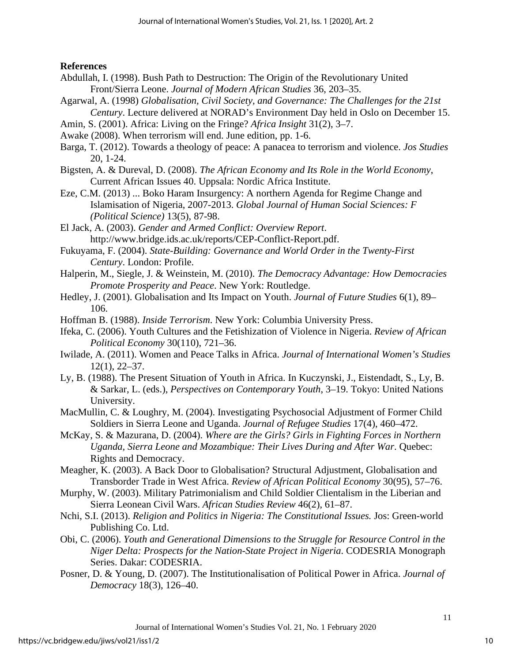**References**

- Abdullah, I. (1998). Bush Path to Destruction: The Origin of the Revolutionary United Front/Sierra Leone. *Journal of Modern African Studies* 36, 203–35.
- Agarwal, A. (1998) *Globalisation, Civil Society, and Governance: The Challenges for the 21st Century*. Lecture delivered at NORAD's Environment Day held in Oslo on December 15.
- Amin, S. (2001). Africa: Living on the Fringe? *Africa Insight* 31(2), 3–7.
- Awake (2008). When terrorism will end. June edition, pp. 1-6.
- Barga, T. (2012). Towards a theology of peace: A panacea to terrorism and violence. *Jos Studies*  20, 1-24.
- Bigsten, A. & Dureval, D. (2008). *The African Economy and Its Role in the World Economy*, Current African Issues 40. Uppsala: Nordic Africa Institute.
- Eze, C.M. (2013) ... Boko Haram Insurgency: A northern Agenda for Regime Change and Islamisation of Nigeria, 2007-2013. *Global Journal of Human Social Sciences: F (Political Science)* 13(5), 87-98.
- El Jack, A. (2003). *Gender and Armed Conflict: Overview Report*. http://www.bridge.ids.ac.uk/reports/CEP-Conflict-Report.pdf.
- Fukuyama, F. (2004). *State-Building: Governance and World Order in the Twenty-First Century*. London: Profile.
- Halperin, M., Siegle, J. & Weinstein, M. (2010). *The Democracy Advantage: How Democracies Promote Prosperity and Peace*. New York: Routledge.
- Hedley, J. (2001). Globalisation and Its Impact on Youth. *Journal of Future Studies* 6(1), 89– 106.
- Hoffman B. (1988). *Inside Terrorism*. New York: Columbia University Press.
- Ifeka, C. (2006). Youth Cultures and the Fetishization of Violence in Nigeria. *Review of African Political Economy* 30(110), 721–36.
- Iwilade, A. (2011). Women and Peace Talks in Africa. *Journal of International Women's Studies* 12(1), 22–37.
- Ly, B. (1988). The Present Situation of Youth in Africa. In Kuczynski, J., Eistendadt, S., Ly, B. & Sarkar, L. (eds.), *Perspectives on Contemporary Youth*, 3–19. Tokyo: United Nations University.
- MacMullin, C. & Loughry, M. (2004). Investigating Psychosocial Adjustment of Former Child Soldiers in Sierra Leone and Uganda. *Journal of Refugee Studies* 17(4), 460–472.
- McKay, S. & Mazurana, D. (2004). *Where are the Girls? Girls in Fighting Forces in Northern Uganda, Sierra Leone and Mozambique: Their Lives During and After War*. Quebec: Rights and Democracy.
- Meagher, K. (2003). A Back Door to Globalisation? Structural Adjustment, Globalisation and Transborder Trade in West Africa. *Review of African Political Economy* 30(95), 57–76.
- Murphy, W. (2003). Military Patrimonialism and Child Soldier Clientalism in the Liberian and Sierra Leonean Civil Wars. *African Studies Review* 46(2), 61–87.
- Nchi, S.I. (2013). *Religion and Politics in Nigeria: The Constitutional Issues.* Jos: Green-world Publishing Co. Ltd.
- Obi, C. (2006). *Youth and Generational Dimensions to the Struggle for Resource Control in the Niger Delta: Prospects for the Nation-State Project in Nigeria*. CODESRIA Monograph Series. Dakar: CODESRIA.
- Posner, D. & Young, D. (2007). The Institutionalisation of Political Power in Africa. *Journal of Democracy* 18(3), 126–40.